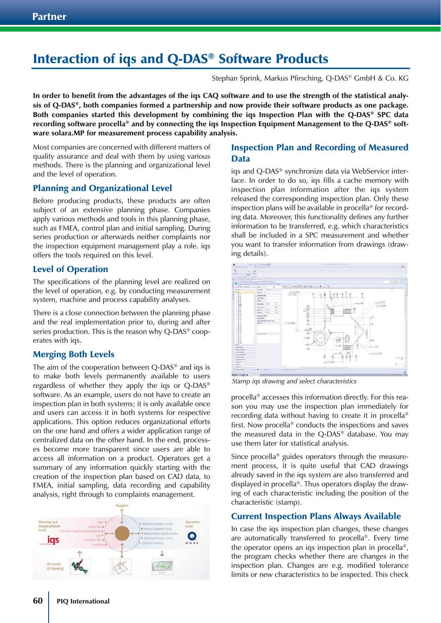# Interaction of iqs and Q-DAS® Software Products

Stephan Sprink, Markus Pfirsching, Q-DAS® GmbH & Co. KG

In order to benefit from the advantages of the iqs CAQ software and to use the strength of the statistical analysis of Q-DAS®, both companies formed a partnership and now provide their software products as one package. Both companies started this development by combining the iqs Inspection Plan with the Q-DAS® SPC data recording software procella® and by connecting the iqs Inspection Equipment Management to the Q-DAS® software solara.MP for measurement process capability analysis.

Most companies are concerned with different matters of quality assurance and deal with them by using various methods. There is the planning and organizational level and the level of operation.

#### Planning and Organizational Level

Before producing products, these products are often subject of an extensive planning phase. Companies apply various methods and tools in this planning phase, such as FMEA, control plan and initial sampling. During series production or afterwards neither complaints nor the inspection equipment management play a role. iqs offers the tools required on this level.

#### Level of Operation

The specifications of the planning level are realized on the level of operation, e.g. by conducting measurement system, machine and process capability analyses.

There is a close connection between the planning phase and the real implementation prior to, during and after series production. This is the reason why Q-DAS<sup>®</sup> cooperates with iqs.

#### Merging Both Levels

The aim of the cooperation between Q-DAS® and iqs is to make both levels permanently available to users regardless of whether they apply the iqs or Q-DAS® software. As an example, users do not have to create an inspection plan in both systems; it is only available once and users can access it in both systems for respective applications. This option reduces organizational efforts on the one hand and offers a wider application range of centralized data on the other hand. In the end, processes become more transparent since users are able to access all information on a product. Operators get a summary of any information quickly starting with the creation of the inspection plan based on CAD data, to FMEA, initial sampling, data recording and capability analysis, right through to complaints management.



#### Inspection Plan and Recording of Measured Data

iqs and Q-DAS® synchronize data via WebService interface. In order to do so, iqs fills a cache memory with inspection plan information after the iqs system released the corresponding inspection plan. Only these inspection plans will be available in procella® for recording data. Moreover, this functionality defines any further information to be transferred, e.g. which characteristics shall be included in a SPC measurement and whether you want to transfer information from drawings (drawing details).



*Stamp iqs drawing and select characteristics*

procella® accesses this information directly. For this reason you may use the inspection plan immediately for recording data without having to create it in procella® first. Now procella® conducts the inspections and saves the measured data in the Q-DAS® database. You may use them later for statistical analysis.

Since procella® guides operators through the measurement process, it is quite useful that CAD drawings already saved in the iqs system are also transferred and displayed in procella®. Thus operators display the drawing of each characteristic including the position of the characteristic (stamp).

#### Current Inspection Plans Always Available

In case the iqs inspection plan changes, these changes are automatically transferred to procella®. Every time the operator opens an iqs inspection plan in procella®, the program checks whether there are changes in the inspection plan. Changes are e.g. modified tolerance limits or new characteristics to be inspected. This check